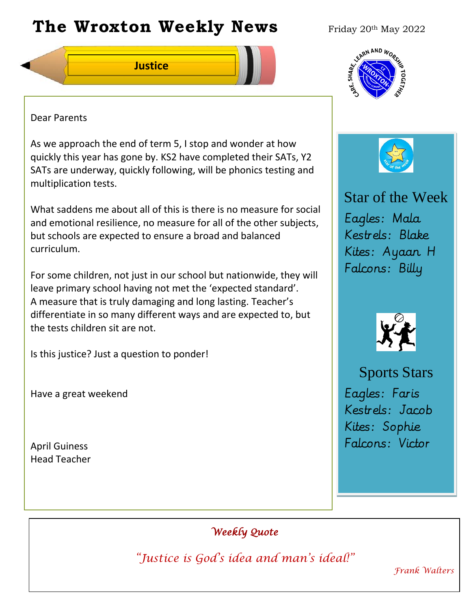# **The Wroxton Weekly News** Friday 20th May 2022

**Justice**

### Dear Parents

As we approach the end of term 5, I stop and wonder at how quickly this year has gone by. KS2 have completed their SATs, Y2 SATs are underway, quickly following, will be phonics testing and multiplication tests.

What saddens me about all of this is there is no measure for social and emotional resilience, no measure for all of the other subjects, but schools are expected to ensure a broad and balanced curriculum.

For some children, not just in our school but nationwide, they will leave primary school having not met the 'expected standard'. A measure that is truly damaging and long lasting. Teacher's differentiate in so many different ways and are expected to, but the tests children sit are not.

**Fall Festival**

Is this justice? Just a question to ponder!

Have a great weekend

April Guiness Head Teacher





Star of the Week Eagles: Mala Kestrels: Blake Kites: Ayaan H Falcons: Billy



Sports Stars Eagles: Faris Kestrels: Jacob Kites: Sophie Falcons: Victor

# *Weekly Quote*

*"Justice is God's idea and man's ideal!"* 

**PTA** 

**New York 1989** 

**Teacher Day**

*Frank Walters*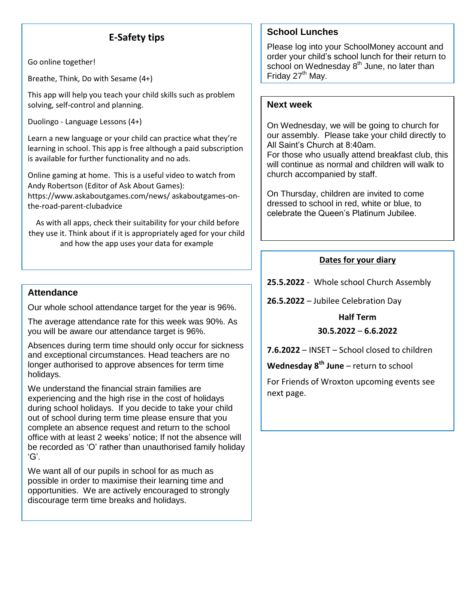# **E-Safety tips**

Go online together!

Breathe, Think, Do with Sesame (4+)

This app will help you teach your child skills such as problem solving, self-control and planning.

Duolingo - Language Lessons (4+)

Learn a new language or your child can practice what they're learning in school. This app is free although a paid subscription is available for further functionality and no ads.

Online gaming at home. This is a useful video to watch from Andy Robertson (Editor of Ask About Games): https://www.askaboutgames.com/news/ askaboutgames-on-

the-road-parent-clubadvice As with all apps, check their suitability for your child before

they use it. Think about if it is appropriately aged for your child and how the app uses your data for example

#### **Attendance**

Our whole school attendance target for the year is 96%.

The average attendance rate for this week was 90%. As you will be aware our attendance target is 96%.

Absences during term time should only occur for sickness and exceptional circumstances. Head teachers are no longer authorised to approve absences for term time holidays.

We understand the financial strain families are experiencing and the high rise in the cost of holidays during school holidays. If you decide to take your child out of school during term time please ensure that you complete an absence request and return to the school office with at least 2 weeks' notice; If not the absence will be recorded as 'O' rather than unauthorised family holiday 'G'.

We want all of our pupils in school for as much as possible in order to maximise their learning time and opportunities. We are actively encouraged to strongly discourage term time breaks and holidays.

#### **School Lunches**

Please log into your SchoolMoney account and order your child's school lunch for their return to school on Wednesday 8<sup>th</sup> June, no later than Friday 27<sup>th</sup> May.

#### **Next week**

On Wednesday, we will be going to church for our assembly. Please take your child directly to All Saint's Church at 8:40am. For those who usually attend breakfast club, this will continue as normal and children will walk to church accompanied by staff.

On Thursday, children are invited to come dressed to school in red, white or blue, to celebrate the Queen's Platinum Jubilee.

#### **Dates for your diary**

**25.5.2022** - Whole school Church Assembly

**26.5.2022** – Jubilee Celebration Day

## **Half Term 30.5.2022** – **6.6.2022**

**7.6.2022** – INSET – School closed to children

**Wednesday 8th June** – return to school

For Friends of Wroxton upcoming events see next page.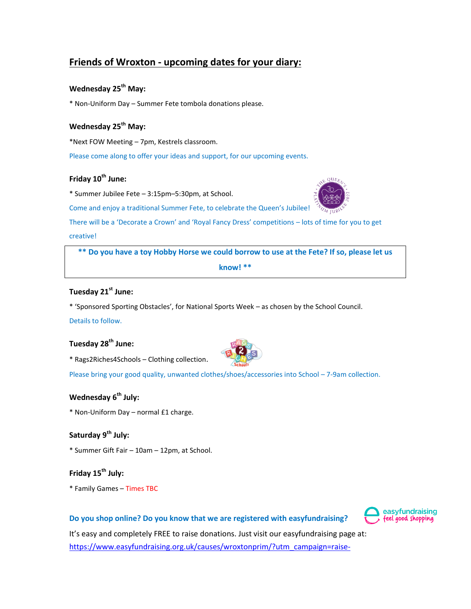# **Friends of Wroxton - upcoming dates for your diary:**

#### **Wednesday 25th May:**

\* Non-Uniform Day – Summer Fete tombola donations please.

#### **Wednesday 25th May:**

\*Next FOW Meeting – 7pm, Kestrels classroom.

Please come along to offer your ideas and support, for our upcoming events.

#### **Friday 10th June:**

\* Summer Jubilee Fete – 3:15pm–5:30pm, at School.



There will be a 'Decorate a Crown' and 'Royal Fancy Dress' competitions – lots of time for you to get

#### creative!

**\*\* Do you have a toy Hobby Horse we could borrow to use at the Fete? If so, please let us know! \*\***

#### **Tuesday 21st June:**

\* 'Sponsored Sporting Obstacles', for National Sports Week – as chosen by the School Council.

#### Details to follow.

### **Tuesday 28th June:**

\* Rags2Riches4Schools – Clothing collection.



Please bring your good quality, unwanted clothes/shoes/accessories into School – 7-9am collection.

#### **Wednesday 6th July:**

\* Non-Uniform Day – normal £1 charge.

#### **Saturday 9th July:**

\* Summer Gift Fair – 10am – 12pm, at School.

#### **Friday 15th July:**

\* Family Games – Times TBC

#### **Do you shop online? Do you know that we are registered with easyfundraising?**



It's easy and completely FREE to raise donations. Just visit our easyfundraising page at: [https://www.easyfundraising.org.uk/causes/wroxtonprim/?utm\\_campaign=raise-](https://www.easyfundraising.org.uk/causes/wroxtonprim/?utm_campaign=raise-more&utm_content=en-n3)